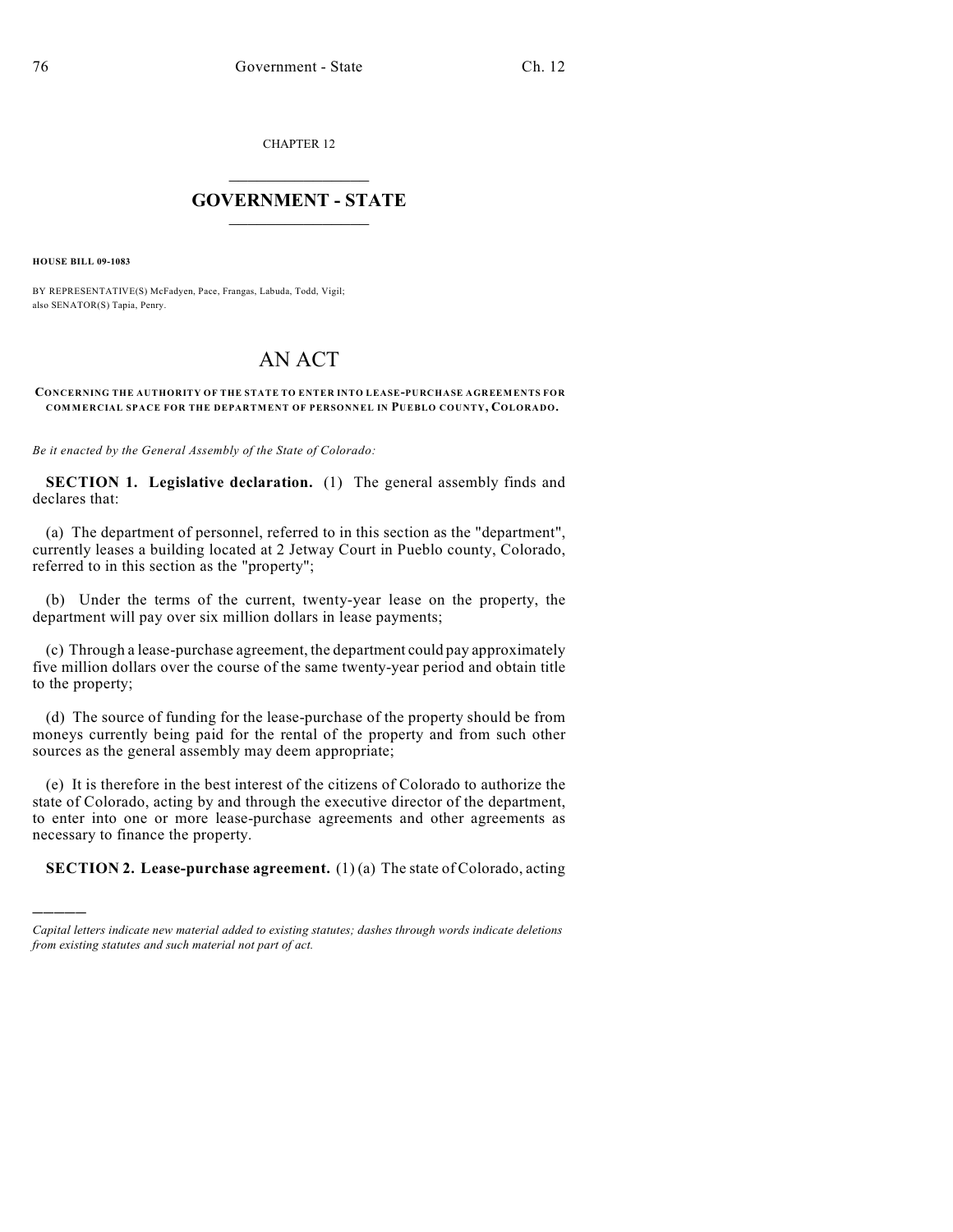CHAPTER 12

## $\overline{\phantom{a}}$  . The set of the set of the set of the set of the set of the set of the set of the set of the set of the set of the set of the set of the set of the set of the set of the set of the set of the set of the set o **GOVERNMENT - STATE**  $\_$

**HOUSE BILL 09-1083**

)))))

BY REPRESENTATIVE(S) McFadyen, Pace, Frangas, Labuda, Todd, Vigil; also SENATOR(S) Tapia, Penry.

## AN ACT

## **CONCERNING THE AUTHORITY OF THE STATE TO ENTER INTO LEASE-PURCHASE AGREEMENTS FOR COMMERCIAL SPACE FOR THE DEPARTMENT OF PERSONNEL IN PUEBLO COUNTY, COLORADO.**

*Be it enacted by the General Assembly of the State of Colorado:*

**SECTION 1. Legislative declaration.** (1) The general assembly finds and declares that:

(a) The department of personnel, referred to in this section as the "department", currently leases a building located at 2 Jetway Court in Pueblo county, Colorado, referred to in this section as the "property";

(b) Under the terms of the current, twenty-year lease on the property, the department will pay over six million dollars in lease payments;

(c) Through a lease-purchase agreement, the department could pay approximately five million dollars over the course of the same twenty-year period and obtain title to the property;

(d) The source of funding for the lease-purchase of the property should be from moneys currently being paid for the rental of the property and from such other sources as the general assembly may deem appropriate;

(e) It is therefore in the best interest of the citizens of Colorado to authorize the state of Colorado, acting by and through the executive director of the department, to enter into one or more lease-purchase agreements and other agreements as necessary to finance the property.

**SECTION 2. Lease-purchase agreement.** (1) (a) The state of Colorado, acting

*Capital letters indicate new material added to existing statutes; dashes through words indicate deletions from existing statutes and such material not part of act.*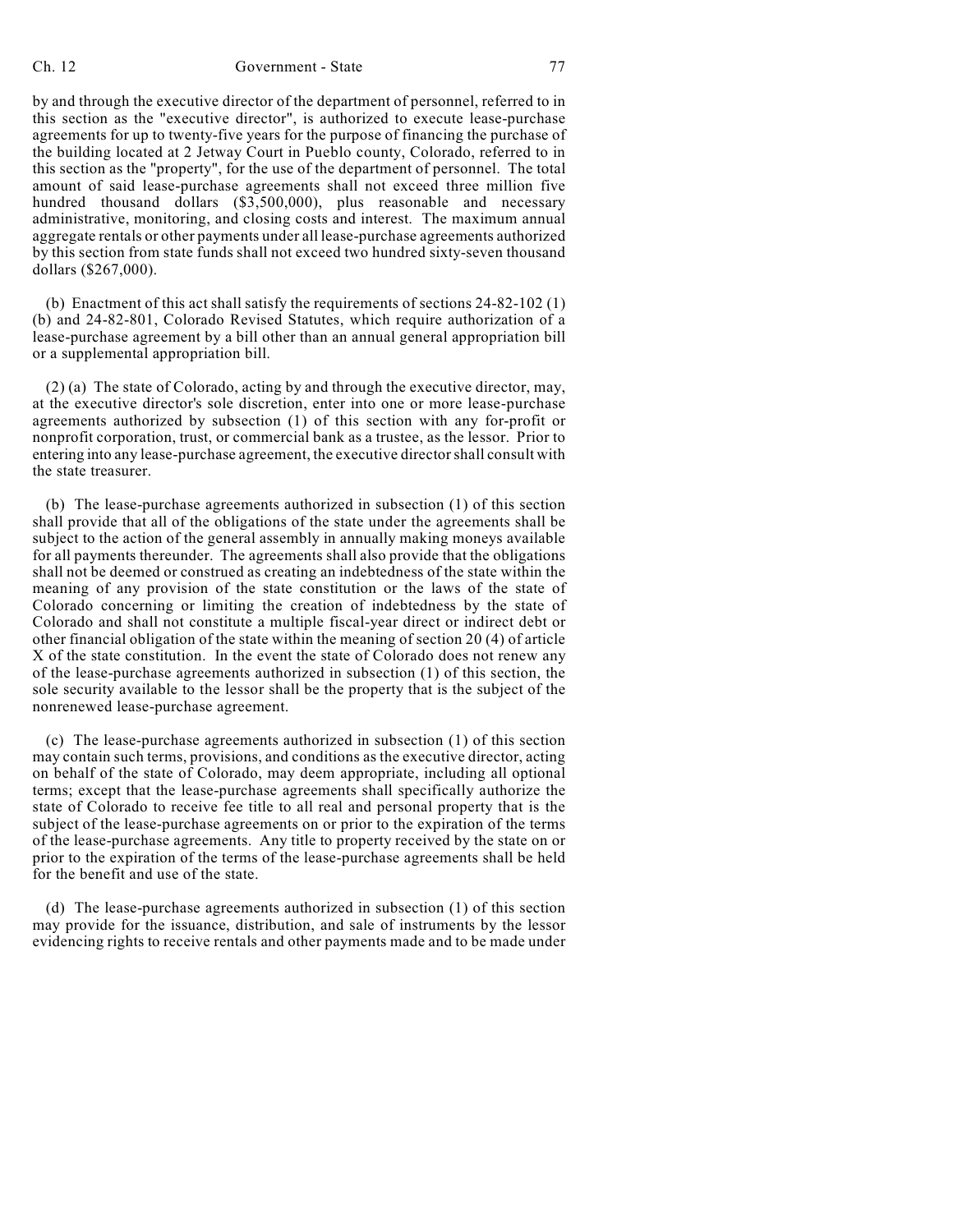## Ch. 12 Government - State 77

by and through the executive director of the department of personnel, referred to in this section as the "executive director", is authorized to execute lease-purchase agreements for up to twenty-five years for the purpose of financing the purchase of the building located at 2 Jetway Court in Pueblo county, Colorado, referred to in this section as the "property", for the use of the department of personnel. The total amount of said lease-purchase agreements shall not exceed three million five hundred thousand dollars (\$3,500,000), plus reasonable and necessary administrative, monitoring, and closing costs and interest. The maximum annual aggregate rentals or other payments under all lease-purchase agreements authorized by this section from state funds shall not exceed two hundred sixty-seven thousand dollars (\$267,000).

(b) Enactment of this act shall satisfy the requirements of sections 24-82-102 (1) (b) and 24-82-801, Colorado Revised Statutes, which require authorization of a lease-purchase agreement by a bill other than an annual general appropriation bill or a supplemental appropriation bill.

(2) (a) The state of Colorado, acting by and through the executive director, may, at the executive director's sole discretion, enter into one or more lease-purchase agreements authorized by subsection (1) of this section with any for-profit or nonprofit corporation, trust, or commercial bank as a trustee, as the lessor. Prior to entering into any lease-purchase agreement, the executive director shall consult with the state treasurer.

(b) The lease-purchase agreements authorized in subsection (1) of this section shall provide that all of the obligations of the state under the agreements shall be subject to the action of the general assembly in annually making moneys available for all payments thereunder. The agreements shall also provide that the obligations shall not be deemed or construed as creating an indebtedness of the state within the meaning of any provision of the state constitution or the laws of the state of Colorado concerning or limiting the creation of indebtedness by the state of Colorado and shall not constitute a multiple fiscal-year direct or indirect debt or other financial obligation of the state within the meaning of section 20 (4) of article X of the state constitution. In the event the state of Colorado does not renew any of the lease-purchase agreements authorized in subsection (1) of this section, the sole security available to the lessor shall be the property that is the subject of the nonrenewed lease-purchase agreement.

(c) The lease-purchase agreements authorized in subsection (1) of this section may contain such terms, provisions, and conditions as the executive director, acting on behalf of the state of Colorado, may deem appropriate, including all optional terms; except that the lease-purchase agreements shall specifically authorize the state of Colorado to receive fee title to all real and personal property that is the subject of the lease-purchase agreements on or prior to the expiration of the terms of the lease-purchase agreements. Any title to property received by the state on or prior to the expiration of the terms of the lease-purchase agreements shall be held for the benefit and use of the state.

(d) The lease-purchase agreements authorized in subsection (1) of this section may provide for the issuance, distribution, and sale of instruments by the lessor evidencing rights to receive rentals and other payments made and to be made under